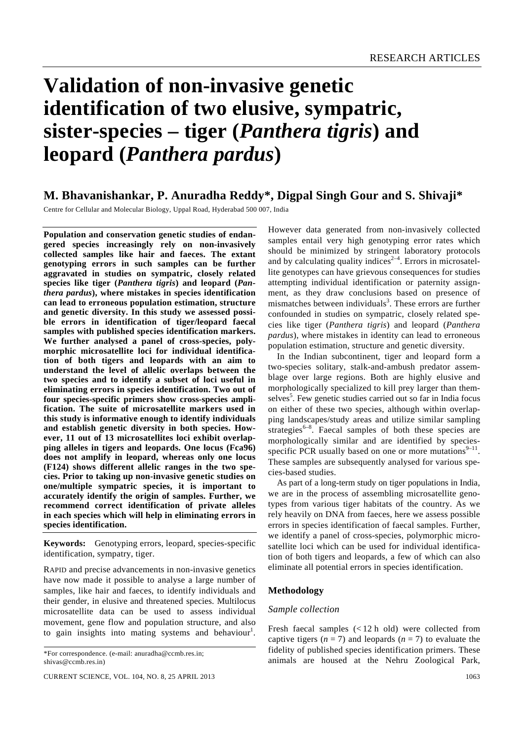# **Validation of non-invasive genetic identification of two elusive, sympatric, sister-species – tiger (***Panthera tigris***) and leopard (***Panthera pardus***)**

# **M. Bhavanishankar, P. Anuradha Reddy\*, Digpal Singh Gour and S. Shivaji\***

Centre for Cellular and Molecular Biology, Uppal Road, Hyderabad 500 007, India

**Population and conservation genetic studies of endangered species increasingly rely on non-invasively collected samples like hair and faeces. The extant genotyping errors in such samples can be further aggravated in studies on sympatric, closely related species like tiger (***Panthera tigris***) and leopard (***Panthera pardus***), where mistakes in species identification can lead to erroneous population estimation, structure and genetic diversity. In this study we assessed possible errors in identification of tiger/leopard faecal samples with published species identification markers. We further analysed a panel of cross-species, polymorphic microsatellite loci for individual identification of both tigers and leopards with an aim to understand the level of allelic overlaps between the two species and to identify a subset of loci useful in eliminating errors in species identification. Two out of four species-specific primers show cross-species amplification. The suite of microsatellite markers used in this study is informative enough to identify individuals and establish genetic diversity in both species. However, 11 out of 13 microsatellites loci exhibit overlapping alleles in tigers and leopards. One locus (Fca96) does not amplify in leopard, whereas only one locus (F124) shows different allelic ranges in the two species. Prior to taking up non-invasive genetic studies on one/multiple sympatric species, it is important to accurately identify the origin of samples. Further, we recommend correct identification of private alleles in each species which will help in eliminating errors in species identification.** 

**Keywords:** Genotyping errors, leopard, species-specific identification, sympatry, tiger.

RAPID and precise advancements in non-invasive genetics have now made it possible to analyse a large number of samples, like hair and faeces, to identify individuals and their gender, in elusive and threatened species. Multilocus microsatellite data can be used to assess individual movement, gene flow and population structure, and also to gain insights into mating systems and behaviour<sup>1</sup>. However data generated from non-invasively collected samples entail very high genotyping error rates which should be minimized by stringent laboratory protocols and by calculating quality indices<sup> $2-4$ </sup>. Errors in microsatellite genotypes can have grievous consequences for studies attempting individual identification or paternity assignment, as they draw conclusions based on presence of mismatches between individuals<sup>3</sup>. These errors are further confounded in studies on sympatric, closely related species like tiger (*Panthera tigris*) and leopard (*Panthera pardus*), where mistakes in identity can lead to erroneous population estimation, structure and genetic diversity.

 In the Indian subcontinent, tiger and leopard form a two-species solitary, stalk-and-ambush predator assemblage over large regions. Both are highly elusive and morphologically specialized to kill prey larger than themselves<sup>5</sup>. Few genetic studies carried out so far in India focus on either of these two species, although within overlapping landscapes/study areas and utilize similar sampling strategies $^{6-8}$ . Faecal samples of both these species are morphologically similar and are identified by speciesspecific PCR usually based on one or more mutations $9-11$ . These samples are subsequently analysed for various species-based studies.

 As part of a long-term study on tiger populations in India, we are in the process of assembling microsatellite genotypes from various tiger habitats of the country. As we rely heavily on DNA from faeces, here we assess possible errors in species identification of faecal samples. Further, we identify a panel of cross-species, polymorphic microsatellite loci which can be used for individual identification of both tigers and leopards, a few of which can also eliminate all potential errors in species identification.

# **Methodology**

## *Sample collection*

Fresh faecal samples (< 12 h old) were collected from captive tigers  $(n = 7)$  and leopards  $(n = 7)$  to evaluate the fidelity of published species identification primers. These animals are housed at the Nehru Zoological Park,

<sup>\*</sup>For correspondence. (e-mail: anuradha@ccmb.res.in; shivas@ccmb.res.in)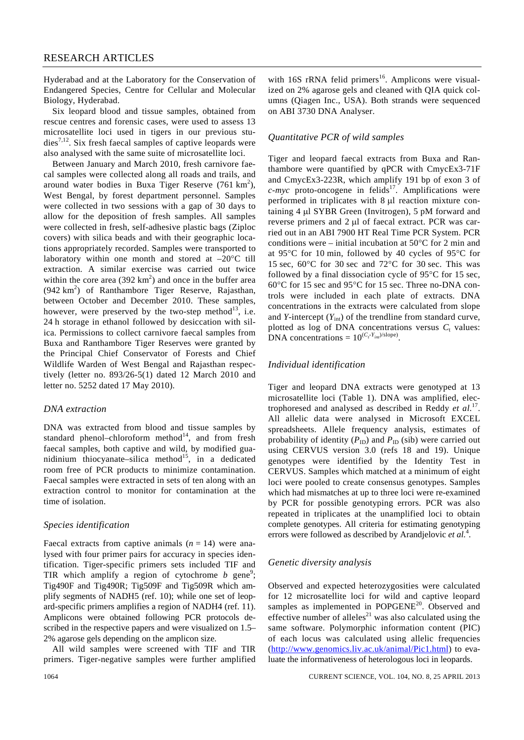Hyderabad and at the Laboratory for the Conservation of Endangered Species, Centre for Cellular and Molecular Biology, Hyderabad.

 Six leopard blood and tissue samples, obtained from rescue centres and forensic cases, were used to assess 13 microsatellite loci used in tigers in our previous studies7,12. Six fresh faecal samples of captive leopards were also analysed with the same suite of microsatellite loci.

 Between January and March 2010, fresh carnivore faecal samples were collected along all roads and trails, and around water bodies in Buxa Tiger Reserve  $(761 \text{ km}^2)$ , West Bengal, by forest department personnel. Samples were collected in two sessions with a gap of 30 days to allow for the deposition of fresh samples. All samples were collected in fresh, self-adhesive plastic bags (Ziploc covers) with silica beads and with their geographic locations appropriately recorded. Samples were transported to laboratory within one month and stored at  $-20^{\circ}$ C till extraction. A similar exercise was carried out twice within the core area  $(392 \text{ km}^2)$  and once in the buffer area  $(942 \text{ km}^2)$  of Ranthambore Tiger Reserve, Rajasthan, between October and December 2010. These samples, however, were preserved by the two-step method<sup>13</sup>, i.e. 24 h storage in ethanol followed by desiccation with silica. Permissions to collect carnivore faecal samples from Buxa and Ranthambore Tiger Reserves were granted by the Principal Chief Conservator of Forests and Chief Wildlife Warden of West Bengal and Rajasthan respectively (letter no. 893/26-5(1) dated 12 March 2010 and letter no. 5252 dated 17 May 2010).

#### *DNA extraction*

DNA was extracted from blood and tissue samples by standard phenol–chloroform method $14$ , and from fresh faecal samples, both captive and wild, by modified guanidinium thiocyanate–silica method<sup>15</sup>, in a dedicated room free of PCR products to minimize contamination. Faecal samples were extracted in sets of ten along with an extraction control to monitor for contamination at the time of isolation.

# *Species identification*

Faecal extracts from captive animals  $(n = 14)$  were analysed with four primer pairs for accuracy in species identification. Tiger-specific primers sets included TIF and TIR which amplify a region of cytochrome  $b$  gene<sup>9</sup>; Tig490F and Tig490R; Tig509F and Tig509R which amplify segments of NADH5 (ref. 10); while one set of leopard-specific primers amplifies a region of NADH4 (ref. 11). Amplicons were obtained following PCR protocols described in the respective papers and were visualized on 1.5– 2% agarose gels depending on the amplicon size.

 All wild samples were screened with TIF and TIR primers. Tiger-negative samples were further amplified

with 16S rRNA felid primers<sup>16</sup>. Amplicons were visualized on 2% agarose gels and cleaned with QIA quick columns (Qiagen Inc., USA). Both strands were sequenced on ABI 3730 DNA Analyser.

# *Quantitative PCR of wild samples*

Tiger and leopard faecal extracts from Buxa and Ranthambore were quantified by qPCR with CmycEx3-71F and CmycEx3-223R, which amplify 191 bp of exon 3 of  $c$ -*myc* proto-oncogene in felids<sup>17</sup>. Amplifications were performed in triplicates with 8 μl reaction mixture containing 4 μl SYBR Green (Invitrogen), 5 pM forward and reverse primers and 2 μl of faecal extract. PCR was carried out in an ABI 7900 HT Real Time PCR System. PCR conditions were – initial incubation at  $50^{\circ}$ C for 2 min and at 95°C for 10 min, followed by 40 cycles of 95°C for 15 sec, 60°C for 30 sec and 72°C for 30 sec. This was followed by a final dissociation cycle of 95°C for 15 sec, 60°C for 15 sec and 95°C for 15 sec. Three no-DNA controls were included in each plate of extracts. DNA concentrations in the extracts were calculated from slope and *Y*-intercept  $(Y_{int})$  of the trendline from standard curve, plotted as log of DNA concentrations versus  $C_t$  values: DNA concentrations =  $10^{(C_t \cdot Y_{int})/\text{slope}}$ .

# *Individual identification*

Tiger and leopard DNA extracts were genotyped at 13 microsatellite loci (Table 1). DNA was amplified, electrophoresed and analysed as described in Reddy *et al*. 17. All allelic data were analysed in Microsoft EXCEL spreadsheets. Allele frequency analysis, estimates of probability of identity  $(P_{ID})$  and  $P_{ID}$  (sib) were carried out using CERVUS version 3.0 (refs 18 and 19). Unique genotypes were identified by the Identity Test in CERVUS. Samples which matched at a minimum of eight loci were pooled to create consensus genotypes. Samples which had mismatches at up to three loci were re-examined by PCR for possible genotyping errors. PCR was also repeated in triplicates at the unamplified loci to obtain complete genotypes. All criteria for estimating genotyping errors were followed as described by Arandjelovic *et al.<sup>4</sup>*.

#### *Genetic diversity analysis*

Observed and expected heterozygosities were calculated for 12 microsatellite loci for wild and captive leopard samples as implemented in POPGENE<sup>20</sup>. Observed and effective number of alleles<sup>21</sup> was also calculated using the same software. Polymorphic information content (PIC) of each locus was calculated using allelic frequencies (http://www.genomics.liv.ac.uk/animal/Pic1.html) to evaluate the informativeness of heterologous loci in leopards.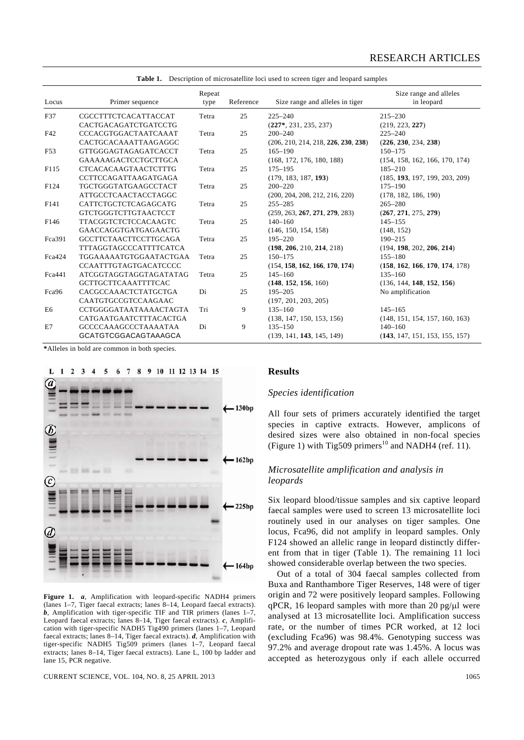|                |                               | Repeat |           |                                     | Size range and alleles         |
|----------------|-------------------------------|--------|-----------|-------------------------------------|--------------------------------|
| Locus          | Primer sequence               | type   | Reference | Size range and alleles in tiger     | in leopard                     |
| F37            | CGCCTTTCTCACATTACCAT          | Tetra  | 25        | $225 - 240$                         | $215 - 230$                    |
|                | CACTGACAGATCTGATCCTG          |        |           | $(227^*, 231, 235, 237)$            | (219, 223, 227)                |
| F42            | CCCACGTGGACTAATCAAAT          | Tetra  | 25        | $200 - 240$                         | $225 - 240$                    |
|                | CACTGCACAAATTAAGAGGC          |        |           | (206, 210, 214, 218, 226, 230, 238) | (226, 230, 234, 238)           |
| F53            | <b>GTTGGGAGTAGAGATCACCT</b>   | Tetra  | 25        | $165 - 190$                         | $150 - 175$                    |
|                | GAAAAAGACTCCTGCTTGCA          |        |           | (168, 172, 176, 180, 188)           | (154, 158, 162, 166, 170, 174) |
| F115           | <b>CTCACACAAGTAACTCTTTG</b>   | Tetra  | 25        | $175 - 195$                         | $185 - 210$                    |
|                | CCTTCCAGATTAAGATGAGA          |        |           | (179, 183, 187, 193)                | (185, 193, 197, 199, 203, 209) |
| F124           | TGCTGGGTATGAAGCCTACT          | Tetra  | 25        | $200 - 220$                         | $175 - 190$                    |
|                | <b>ATTGCCTCAACTACCTAGGC</b>   |        |           | (200, 204, 208, 212, 216, 220)      | (178, 182, 186, 190)           |
| F141           | CATTCTGCTCTCAGAGCATG          | Tetra  | 25        | $255 - 285$                         | $265 - 280$                    |
|                | <b>GTCTGGGTCTTGTAACTCCT</b>   |        |           | (259, 263, 267, 271, 279, 283)      | (267, 271, 275, 279)           |
| F146           | <b>TTACGGTCTCTCCACAAGTC</b>   | Tetra  | 25        | $140 - 160$                         | $145 - 155$                    |
|                | GAACCAGGTGATGAGAACTG          |        |           | (146, 150, 154, 158)                | (148, 152)                     |
| Fca391         | <b>GCCTTCTAACTTCCTTGCAGA</b>  | Tetra  | 25        | 195-220                             | $190 - 215$                    |
|                | <b>TTTAGGTAGCCCATTTTCATCA</b> |        |           | (198, 206, 210, 214, 218)           | (194, 198, 202, 206, 214)      |
| Fca424         | TGGAAAAATGTGGAATACTGAA        | Tetra  | 25        | $150 - 175$                         | $155 - 180$                    |
|                | <b>CCAATTTGTAGTGACATCCCC</b>  |        |           | (154, 158, 162, 166, 170, 174)      | (158, 162, 166, 170, 174, 178) |
| Fca441         | ATCGGTAGGTAGGTAGATATAG        | Tetra  | 25        | $145 - 160$                         | $135 - 160$                    |
|                | <b>GCTTGCTTCAAATTTTCAC</b>    |        |           | (148, 152, 156, 160)                | (136, 144, 148, 152, 156)      |
| Fca96          | CACGCCAAACTCTATGCTGA          | Di     | 25        | $195 - 205$                         | No amplification               |
|                | CAATGTGCCGTCCAAGAAC           |        |           | (197, 201, 203, 205)                |                                |
| E <sub>6</sub> | CCTGGGGATAATAAAACTAGTA        | Tri    | 9         | $135 - 160$                         | $145 - 165$                    |
|                | CATGAATGAATCTTTACACTGA        |        |           | (138, 147, 150, 153, 156)           | (148, 151, 154, 157, 160, 163) |
| E7             | <b>GCCCCAAAGCCCTAAAATAA</b>   | Di     | 9         | $135 - 150$                         | $140 - 160$                    |
|                | <b>GCATGTCGGACAGTAAAGCA</b>   |        |           | (139, 141, 143, 145, 149)           | (143, 147, 151, 153, 155, 157) |

**Table 1.** Description of microsatellite loci used to screen tiger and leopard samples

**\***Alleles in bold are common in both species.





**Figure 1.** *a*, Amplification with leopard-specific NADH4 primers (lanes 1–7, Tiger faecal extracts; lanes 8–14, Leopard faecal extracts). **, Amplification with tiger-specific TIF and TIR primers (lanes**  $1-7$ **,** Leopard faecal extracts; lanes 8–14, Tiger faecal extracts). *c*, Amplification with tiger-specific NADH5 Tig490 primers (lanes 1–7, Leopard faecal extracts; lanes 8–14, Tiger faecal extracts). *d*, Amplification with tiger-specific NADH5 Tig509 primers (lanes 1–7, Leopard faecal extracts; lanes 8–14, Tiger faecal extracts). Lane L, 100 bp ladder and lane 15, PCR negative.

CURRENT SCIENCE, VOL. 104, NO. 8, 25 APRIL 2013 1065

**Results** 

## *Species identification*

All four sets of primers accurately identified the target species in captive extracts. However, amplicons of desired sizes were also obtained in non-focal species (Figure 1) with Tig509 primers<sup>10</sup> and NADH4 (ref. 11).

## *Microsatellite amplification and analysis in leopards*

Six leopard blood/tissue samples and six captive leopard faecal samples were used to screen 13 microsatellite loci routinely used in our analyses on tiger samples. One locus, Fca96, did not amplify in leopard samples. Only F124 showed an allelic range in leopard distinctly different from that in tiger (Table 1). The remaining 11 loci showed considerable overlap between the two species.

 Out of a total of 304 faecal samples collected from Buxa and Ranthambore Tiger Reserves, 148 were of tiger origin and 72 were positively leopard samples. Following qPCR, 16 leopard samples with more than 20 pg/ $\mu$ l were analysed at 13 microsatellite loci. Amplification success rate, or the number of times PCR worked, at 12 loci (excluding Fca96) was 98.4%. Genotyping success was 97.2% and average dropout rate was 1.45%. A locus was accepted as heterozygous only if each allele occurred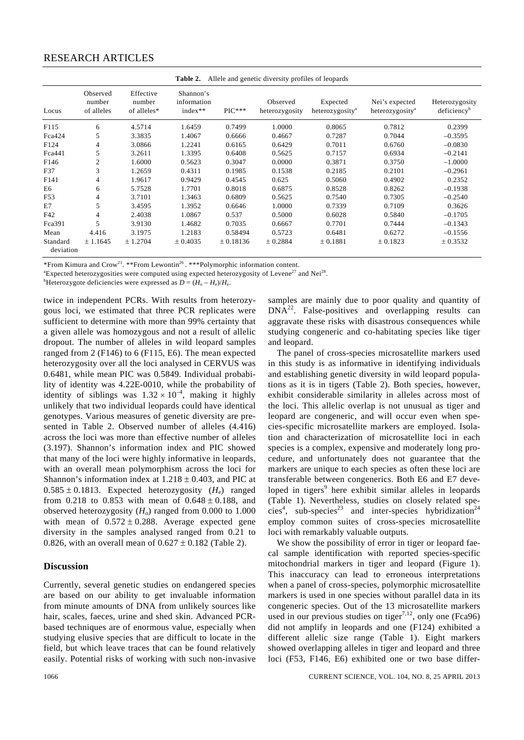# RESEARCH ARTICLES

| Allele and genetic diversity profiles of leopards<br>Table 2. |                                  |                                    |                                       |                  |                            |                                         |                                               |                                           |  |  |  |
|---------------------------------------------------------------|----------------------------------|------------------------------------|---------------------------------------|------------------|----------------------------|-----------------------------------------|-----------------------------------------------|-------------------------------------------|--|--|--|
| Locus                                                         | Observed<br>number<br>of alleles | Effective<br>number<br>of alleles* | Shannon's<br>information<br>$index**$ | $\rm{PIC^{***}}$ | Observed<br>heterozygosity | Expected<br>heterozygosity <sup>a</sup> | Nei's expected<br>heterozygosity <sup>a</sup> | Heterozygosity<br>deficiency <sup>b</sup> |  |  |  |
| F115                                                          | 6                                | 4.5714                             | 1.6459                                | 0.7499           | 1.0000                     | 0.8065                                  | 0.7812                                        | 0.2399                                    |  |  |  |
| Fca424                                                        | 5                                | 3.3835                             | 1.4067                                | 0.6666           | 0.4667                     | 0.7287                                  | 0.7044                                        | $-0.3595$                                 |  |  |  |
| F124                                                          | 4                                | 3.0866                             | 1.2241                                | 0.6165           | 0.6429                     | 0.7011                                  | 0.6760                                        | $-0.0830$                                 |  |  |  |
| Fca441                                                        | 5                                | 3.2611                             | 1.3395                                | 0.6408           | 0.5625                     | 0.7157                                  | 0.6934                                        | $-0.2141$                                 |  |  |  |
| F <sub>146</sub>                                              | $\overline{c}$                   | 1.6000                             | 0.5623                                | 0.3047           | 0.0000                     | 0.3871                                  | 0.3750                                        | $-1.0000$                                 |  |  |  |
| F37                                                           | 3                                | 1.2659                             | 0.4311                                | 0.1985           | 0.1538                     | 0.2185                                  | 0.2101                                        | $-0.2961$                                 |  |  |  |
| F <sub>141</sub>                                              | 4                                | 1.9617                             | 0.9429                                | 0.4545           | 0.625                      | 0.5060                                  | 0.4902                                        | 0.2352                                    |  |  |  |
| E6                                                            | 6                                | 5.7528                             | 1.7701                                | 0.8018           | 0.6875                     | 0.8528                                  | 0.8262                                        | $-0.1938$                                 |  |  |  |
| F53                                                           | 4                                | 3.7101                             | 1.3463                                | 0.6809           | 0.5625                     | 0.7540                                  | 0.7305                                        | $-0.2540$                                 |  |  |  |
| E7                                                            | 5                                | 3.4595                             | 1.3952                                | 0.6646           | 1.0000                     | 0.7339                                  | 0.7109                                        | 0.3626                                    |  |  |  |
| F42                                                           | 4                                | 2.4038                             | 1.0867                                | 0.537            | 0.5000                     | 0.6028                                  | 0.5840                                        | $-0.1705$                                 |  |  |  |
| Fca391                                                        | 5                                | 3.9130                             | 1.4682                                | 0.7035           | 0.6667                     | 0.7701                                  | 0.7444                                        | $-0.1343$                                 |  |  |  |
| Mean                                                          | 4.416                            | 3.1975                             | 1.2183                                | 0.58494          | 0.5723                     | 0.6481                                  | 0.6272                                        | $-0.1556$                                 |  |  |  |
| Standard<br>deviation                                         | ± 1.1645                         | ± 1.2704                           | ± 0.4035                              | ± 0.18136        | ± 0.2884                   | ± 0.1881                                | ± 0.1823                                      | ± 0.3532                                  |  |  |  |

\*From Kimura and Crow<sup>21</sup>. \*\*From Lewontin<sup>26</sup>. \*\*\*Polymorphic information content.

<sup>a</sup>Expected heterozygosities were computed using expected heterozygosity of Levene<sup>27</sup> and Nei<sup>28</sup>.

<sup>b</sup>Heterozygote deficiencies were expressed as  $D = (H_0 - H_e)/H_e$ .

twice in independent PCRs. With results from heterozygous loci, we estimated that three PCR replicates were sufficient to determine with more than 99% certainty that a given allele was homozygous and not a result of allelic dropout. The number of alleles in wild leopard samples ranged from 2 (F146) to 6 (F115, E6). The mean expected heterozygosity over all the loci analysed in CERVUS was 0.6481, while mean PIC was 0.5849. Individual probability of identity was 4.22E-0010, while the probability of identity of siblings was  $1.32 \times 10^{-4}$ , making it highly unlikely that two individual leopards could have identical genotypes. Various measures of genetic diversity are presented in Table 2. Observed number of alleles (4.416) across the loci was more than effective number of alleles (3.197). Shannon's information index and PIC showed that many of the loci were highly informative in leopards, with an overall mean polymorphism across the loci for Shannon's information index at  $1.218 \pm 0.403$ , and PIC at  $0.585 \pm 0.1813$ . Expected heterozygosity  $(H_e)$  ranged from 0.218 to 0.853 with mean of  $0.648 \pm 0.188$ , and observed heterozygosity  $(H_0)$  ranged from 0.000 to 1.000 with mean of  $0.572 \pm 0.288$ . Average expected gene diversity in the samples analysed ranged from 0.21 to 0.826, with an overall mean of  $0.627 \pm 0.182$  (Table 2).

#### **Discussion**

Currently, several genetic studies on endangered species are based on our ability to get invaluable information from minute amounts of DNA from unlikely sources like hair, scales, faeces, urine and shed skin. Advanced PCRbased techniques are of enormous value, especially when studying elusive species that are difficult to locate in the field, but which leave traces that can be found relatively easily. Potential risks of working with such non-invasive samples are mainly due to poor quality and quantity of  $DNA^{22}$ . False-positives and overlapping results can aggravate these risks with disastrous consequences while studying congeneric and co-habitating species like tiger and leopard.

 The panel of cross-species microsatellite markers used in this study is as informative in identifying individuals and establishing genetic diversity in wild leopard populations as it is in tigers (Table 2). Both species, however, exhibit considerable similarity in alleles across most of the loci. This allelic overlap is not unusual as tiger and leopard are congeneric, and will occur even when species-specific microsatellite markers are employed. Isolation and characterization of microsatellite loci in each species is a complex, expensive and moderately long procedure, and unfortunately does not guarantee that the markers are unique to each species as often these loci are transferable between congenerics. Both E6 and E7 developed in tigers<sup>9</sup> here exhibit similar alleles in leopards (Table 1). Nevertheless, studies on closely related species<sup>4</sup>, sub-species<sup>23</sup> and inter-species hybridization<sup>24</sup> employ common suites of cross-species microsatellite loci with remarkably valuable outputs.

 We show the possibility of error in tiger or leopard faecal sample identification with reported species-specific mitochondrial markers in tiger and leopard (Figure 1). This inaccuracy can lead to erroneous interpretations when a panel of cross-species, polymorphic microsatellite markers is used in one species without parallel data in its congeneric species. Out of the 13 microsatellite markers used in our previous studies on tiger<sup>7,12</sup>, only one (Fca96) did not amplify in leopards and one (F124) exhibited a different allelic size range (Table 1). Eight markers showed overlapping alleles in tiger and leopard and three loci (F53, F146, E6) exhibited one or two base differ